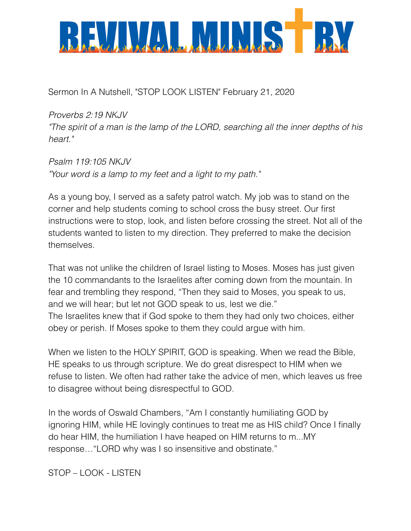

Sermon In A Nutshell, "STOP LOOK LISTEN" February 21, 2020

*Proverbs 2:19 NKJV "The spirit of a man is the lamp of the LORD, searching all the inner depths of his heart."*

*Psalm 119:105 NKJV "Your word is a lamp to my feet and a light to my path."*

As a young boy, I served as a safety patrol watch. My job was to stand on the corner and help students coming to school cross the busy street. Our first instructions were to stop, look, and listen before crossing the street. Not all of the students wanted to listen to my direction. They preferred to make the decision themselves.

That was not unlike the children of Israel listing to Moses. Moses has just given the 10 commandants to the Israelites after coming down from the mountain. In fear and trembling they respond, "Then they said to Moses, you speak to us, and we will hear; but let not GOD speak to us, lest we die." The Israelites knew that if God spoke to them they had only two choices, either obey or perish. If Moses spoke to them they could argue with him.

When we listen to the HOLY SPIRIT, GOD is speaking. When we read the Bible, HE speaks to us through scripture. We do great disrespect to HIM when we refuse to listen. We often had rather take the advice of men, which leaves us free to disagree without being disrespectful to GOD.

In the words of Oswald Chambers, "Am I constantly humiliating GOD by ignoring HIM, while HE lovingly continues to treat me as HIS child? Once I finally do hear HIM, the humiliation I have heaped on HIM returns to m...MY response…"LORD why was I so insensitive and obstinate."

STOP – LOOK - LISTEN